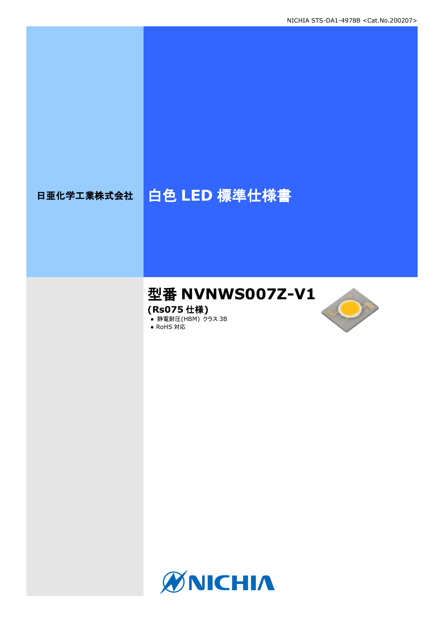# 日亜化学工業株式会社 | 白色 LED 標準仕様書

## 型番 **NVNWS007Z-V1**

**(Rs075** 仕様**)**

**● 静電耐圧(HBM) クラス 3B** 





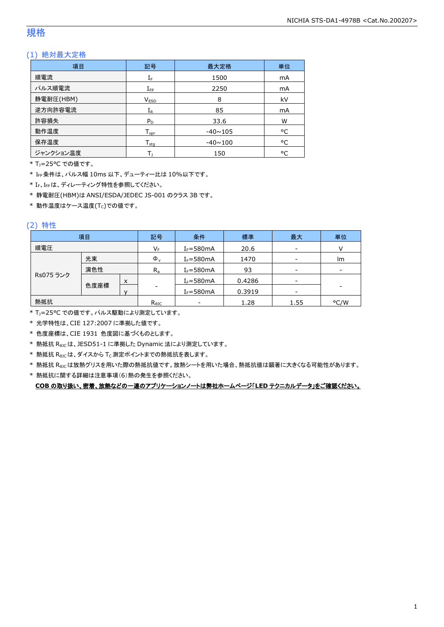### 規格

### (1) 絶対最大定格

| 項目        | 記号                           | 最大定格           |    |
|-----------|------------------------------|----------------|----|
| 順電流       | $I_F$                        | 1500           | mA |
| パルス順電流    | $I_{\text{FP}}$              | 2250           | mA |
| 静電耐圧(HBM) | 8<br>V <sub>ESD</sub>        |                | kV |
| 逆方向許容電流   | $I_{R}$                      | 85             | mA |
| 許容損失      | $P_D$                        | 33.6           | W  |
| 動作温度      | ${\mathsf T}_{\textsf{opr}}$ | $-40 \sim 105$ | °C |
| 保存温度      | ${\mathsf T}_{\textsf{stg}}$ | $-40 \sim 100$ |    |
| ジャンクション温度 |                              | 150            |    |

\* TJ=25°C での値です。

\* IFP条件は、パルス幅 10ms 以下、デューティー比は 10%以下です。

\* IF、IFPは、ディレーティング特性を参照してください。

\* 静電耐圧(HBM)は ANSI/ESDA/JEDEC JS-001 のクラス 3B です。

 $*$ 動作温度はケース温度(Tc)での値です。

### (2) 特性

|           | 項目   |   | 記号             | 条件            | 標準     | 最大                       | 単位                       |
|-----------|------|---|----------------|---------------|--------|--------------------------|--------------------------|
| 順電圧       |      |   | $V_F$          | $I_F = 580mA$ | 20.6   | $\overline{\phantom{a}}$ |                          |
|           | 光束   |   | $\Phi_{\rm v}$ | $I_F = 580mA$ | 1470   | $\overline{\phantom{a}}$ | lm                       |
|           | 演色性  |   | $R_{a}$        | $I_F = 580mA$ | 93     | $\overline{\phantom{a}}$ | $\overline{\phantom{a}}$ |
| Rs075 ランク |      | X |                | $I_F = 580mA$ | 0.4286 | $\overline{\phantom{a}}$ |                          |
|           | 色度座標 |   | -              | $I_F = 580mA$ | 0.3919 | $\overline{\phantom{a}}$ | ۰                        |
| 熱抵抗       |      |   | $R_{\theta$ JC | -             | 1.28   | 1.55                     | °C/W                     |

\* TJ=25°C での値です。パルス駆動により測定しています。

\* 光学特性は、CIE 127:2007 に準拠した値です。

\* 色度座標は、CIE 1931 色度図に基づくものとします。

\* 熱抵抗 RθJCは、JESD51-1 に準拠した Dynamic 法により測定しています。

 $*$  熱抵抗  $R_{\rm \theta JC}$ は、ダイスから Tc 測定ポイントまでの熱抵抗を表します。

\* 熱抵抗 R<sub>9JC</sub>は放熱グリスを用いた際の熱抵抗値です。放熱シートを用いた場合、熱抵抗値は顕著に大きくなる可能性があります。

\* 熱抵抗に関する詳細は注意事項(6)熱の発生を参照ください。

**COB** の取り扱い、密着、放熱などの一連のアプリケーションノートは弊社ホームページ「**LED** テクニカルデータ」をご確認ください。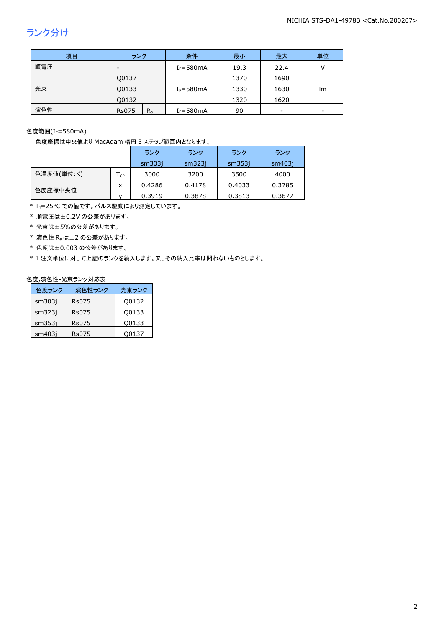## ランク分け

| 項目  | ランク                      | 条件            | 最小   | 最大   | 単位                       |
|-----|--------------------------|---------------|------|------|--------------------------|
| 順電圧 | $\overline{\phantom{0}}$ | $I_F = 580mA$ | 19.3 | 22.4 |                          |
|     | Q0137                    |               | 1370 | 1690 |                          |
| 光束  | Q0133                    | $I_F = 580mA$ | 1330 | 1630 | lm                       |
|     | 00132                    |               | 1320 | 1620 |                          |
| 演色性 | $R_{a}$<br><b>Rs075</b>  | $I_F = 580mA$ | 90   | -    | $\overline{\phantom{a}}$ |

色度範囲(IF=580mA)

色度座標は中央値より MacAdam 楕円 3 ステップ範囲内となります。

|            |    | ランク    | ランク    | ランク    | ランク    |
|------------|----|--------|--------|--------|--------|
|            |    | sm3031 | sm323i | sm353i | sm403i |
| 色温度値(単位:K) | CP | 3000   | 3200   | 3500   | 4000   |
|            | x  | 0.4286 | 0.4178 | 0.4033 | 0.3785 |
| 色度座標中央値    |    | 0.3919 | 0.3878 | 0.3813 | 0.3677 |

\* T<sub>J</sub>=25°C での値です。パルス駆動により測定しています。

\* 順電圧は±0.2V の公差があります。

\* 光束は±5%の公差があります。

 $*$  演色性  $R_a$ は±2 の公差があります。

\* 色度は±0.003 の公差があります。

\* 1 注文単位に対して上記のランクを納入します。又、その納入比率は問わないものとします。

#### 色度,演色性-光束ランク対応表

| 色度ランク  | 演色性ランク | 光東ランク |
|--------|--------|-------|
| sm303i | Rs075  | Q0132 |
| sm323i | Rs075  | Q0133 |
| sm353i | Rs075  | Q0133 |
| sm403i | Rs075  | O0137 |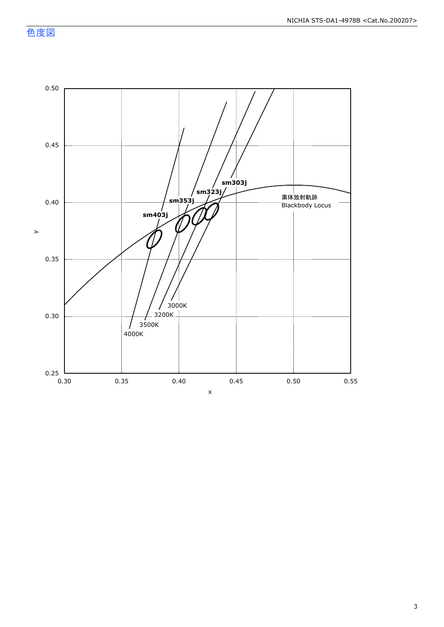色度図

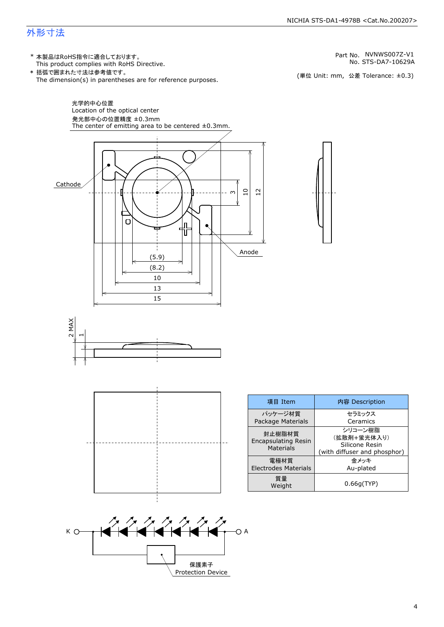### 外形寸法

(単位 Unit: mm) This product complies with RoHS Directive. \* 本製品はRoHS指令に適合しております。 (単位 Unit: mm, 公差 Tolerance: ±0.3) STS-DA7-10629A NVNWS007Z-V1 The dimension(s) in parentheses are for reference purposes. \* 括弧で囲まれた寸法は参考値です。 No. Part No.







| 項目 Item                                                  | 内容 Description                                                           |
|----------------------------------------------------------|--------------------------------------------------------------------------|
| パッケージ材質<br>Package Materials                             | セラミックス<br>Ceramics                                                       |
| 封止樹脂材質<br><b>Encapsulating Resin</b><br><b>Materials</b> | シリコーン樹脂<br>(拡散剤+蛍光体入り)<br>Silicone Resin<br>(with diffuser and phosphor) |
| 雷極材質<br><b>Electrodes Materials</b>                      | 金メッキ<br>Au-plated                                                        |
| 質量<br>Weight                                             | 0.66q(TYP)                                                               |

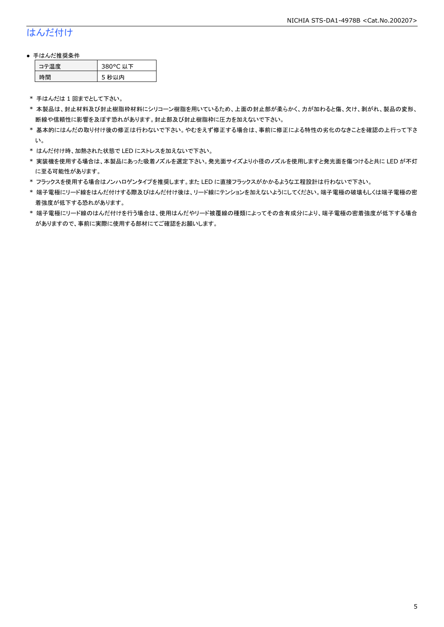### はんだ付け

### ● 手はんだ推奨条件

| →"烏庫」 | 380°C 以下 |
|-------|----------|
| .間    | 5 秒以内    |

\* 手はんだは 1 回までとして下さい。

- \* 本製品は、封止材料及び封止樹脂枠材料にシリコーン樹脂を用いているため、上面の封止部が柔らかく、力が加わると傷、欠け、剥がれ、製品の変形、 断線や信頼性に影響を及ぼす恐れがあります。封止部及び封止樹脂枠に圧力を加えないで下さい。
- \* 基本的にはんだの取り付け後の修正は行わないで下さい。やむをえず修正する場合は、事前に修正による特性の劣化のなきことを確認の上行って下さ い。
- \* はんだ付け時、加熱された状態で LED にストレスを加えないで下さい。
- \* 実装機を使用する場合は、本製品にあった吸着ノズルを選定下さい。発光面サイズより小径のノズルを使用しますと発光面を傷つけると共に LED が不灯 に至る可能性があります。
- \* フラックスを使用する場合はノンハロゲンタイプを推奨します。また LED に直接フラックスがかかるような工程設計は行わないで下さい。
- \* 端子電極にリード線をはんだ付けする際及びはんだ付け後は、リード線にテンションを加えないようにしてください。端子電極の破壊もしくは端子電極の密 着強度が低下する恐れがあります。
- \* 端子電極にリード線のはんだ付けを行う場合は、使用はんだやリード被覆線の種類によってその含有成分により、端子電極の密着強度が低下する場合 がありますので、事前に実際に使用する部材にてご確認をお願いします。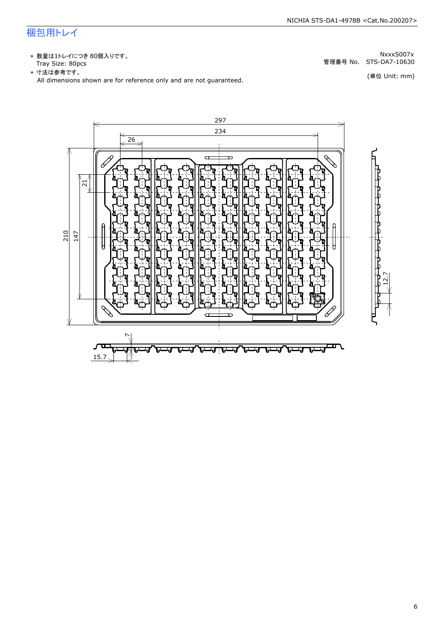### 梱包用トレイ

\* 数量は1トレイにつき 80個入りです。<br>Tray Size: 80pcs

\* 数量は1トレイにつき 80個入りです。<br>Tray Size: 80pcs<br>\* 寸法は参考です。<br>All dimensions shown are for reference only and are not guaranteed. \* づ法は参考です。 (単位 Unit: mm)

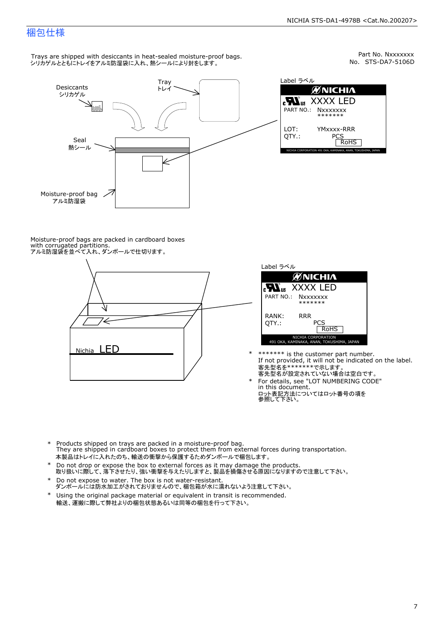Part No. Nxxxxxxx<br>No. STS-DA7-5106D

### 梱包仕様

Trays are shipped with desiccants in heat-sealed moisture-proof bags. シリカゲルとともにトレイをアルミ防湿袋に入れ、熱シールにより封をします。



Label ラベル  $\mathscr{U}$ NICHIA  $\begin{array}{lll} \text{cN}_{\text{us}} & \text{XXXX} & \text{LED} \\ \text{part no.:} & \text{Nxxxxxxx} \\ \text{LOT:} & \text{YMxxxx-RRR} \\ \text{QTY.:} & & \text{PCS} \\ \hline & \text{ROHS} \end{array}$ NICHIA CORPORATION <sup>491</sup> OKA, KAMINAKA, ANAN, TOKUSHIMA, JAPAN LOT: QTY.: YMxxxx-RRR PCS PART NO.:

Moisture-proof bags are packed in cardboard boxes with corrugated partitions. アルミ防湿袋を並べて入れ、ダンボールで仕切ります。





- \* \*\*\*\*\*\*\* is the customer part number.<br>If not provided, it will not be indicated on the label.<br>客先型名が設定されていない場合は空白です。
- For details, see "LOT NUMBERING CODE"<br>in this document.<br>ロット表記方法についてはロット番号の項を<br>参照して下さい。
- \* Products shipped on trays are packed in a moisture-proof bag.<br>They are shipped in cardboard boxes to protect them from external forces during transportation.<br>本製品はトレイに入れたのち、輸送の衝撃から保護するためダンボールで梱包します。<br>\* Do not drop or exp 本製品はトレイに入れたのち、輸送の衝撃から保護するためダンボールで梱包します。
- Do not drop or expose the box to external forces as it may damage the products. \*
- 取り扱いに際して、落下させたり、強い衝撃を与えたりしますと、製品を損傷させる原因になりますので注意して下さい。 Do not expose to water. The box is not water-resistant. \*
- ダンボールには防水加工がされておりませんので、梱包箱が水に濡れないよう注意して下さい。 \*
- 輸送、運搬に際して弊社よりの梱包状態あるいは同等の梱包を行って下さい。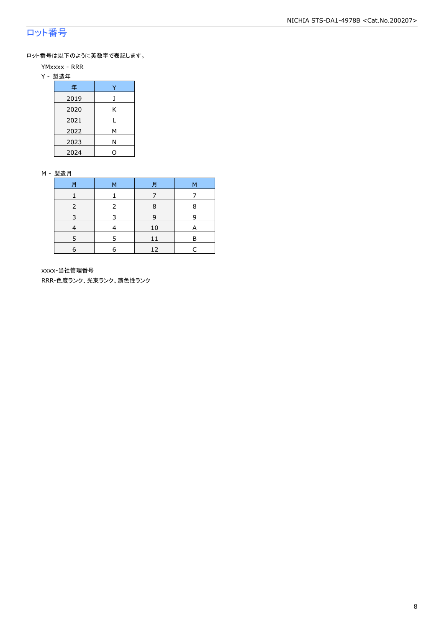### ロット番号

ロット番号は以下のように英数字で表記します。

- YMxxxx RRR
- Y 製造年

| 年    |   |
|------|---|
| 2019 | 1 |
| 2020 | Κ |
| 2021 |   |
| 2022 | М |
| 2023 | Ν |
| 2024 |   |

#### M - 製造月

| 月 | м | 月  | М |
|---|---|----|---|
|   |   |    |   |
|   |   | 8  | 8 |
|   |   | 9  | q |
|   |   | 10 | A |
|   |   |    | F |
| 6 | F | 12 |   |

xxxx-当社管理番号

RRR-色度ランク、光束ランク、演色性ランク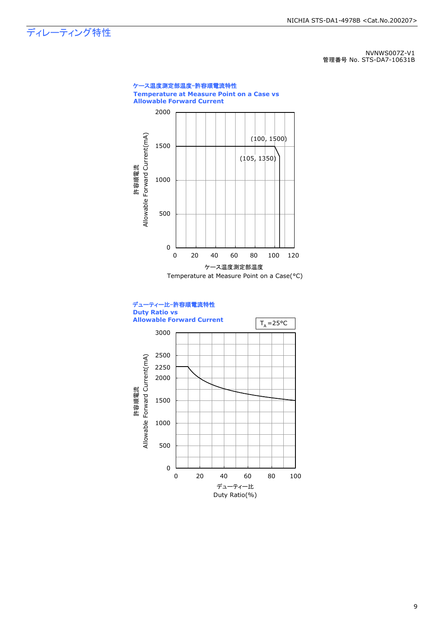ディレーティング特性

NVNWS007Z-V1 管理番号 No. STS-DA7-10631B

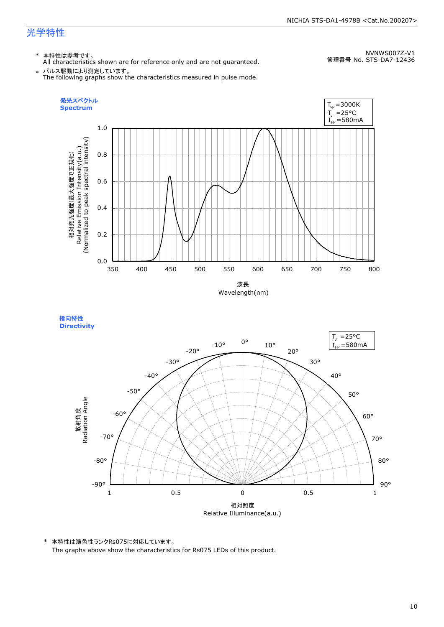### 光学特性

### \* 本特性は参考です。

All characteristics shown are for reference only and are not guaranteed.

NVNWS007Z-V1 管理番号 No. STS-DA7-12436

 $\;* \;$  パルス駆動により測定しています。<br>The following graphs show the characteristics measured in pulse mode.



指向特性 **Directivity** 



\* 本特性は演色性ランクRs075に対応しています。 The graphs above show the characteristics for Rs075 LEDs of this product.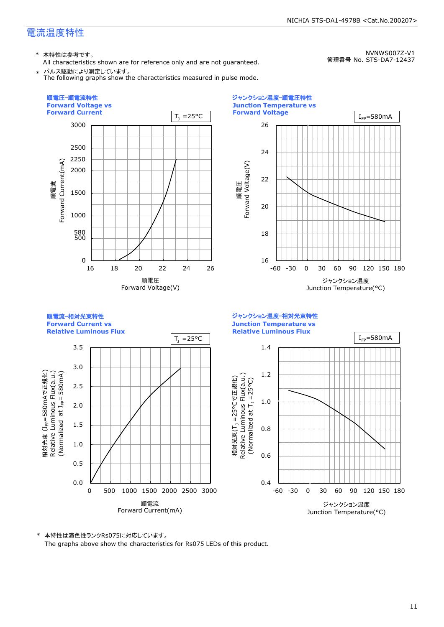### 電流温度特性

\* 本特性は参考です。

All characteristics shown are for reference only and are not guaranteed. \* パルス駆動により測定しています。

The following graphs show the characteristics measured in pulse mode.

NICHIA STS-DA1-4978B <Cat.No.200207>

NVNWS007Z-V1 管理番号 No. STS-DA7-12437



\* 本特性は演色性ランクRs075に対応しています。 The graphs above show the characteristics for Rs075 LEDs of this product.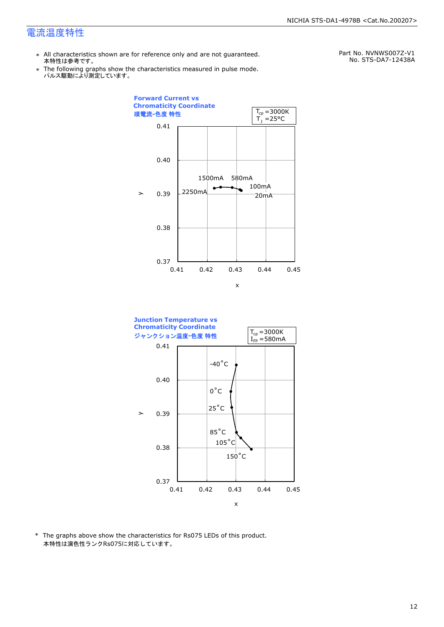### 電流温度特性

- \* All characteristics shown are for reference only and are not guaranteed. 本特性は参考です。
- \* Ine following graphs show th<br>、パルス駆動により測定しています。 The following graphs show the characteristics measured in pulse mode.

Part No. NVNWS007Z-V1 No. STS-DA7-12438A





\* The graphs above show the characteristics for Rs075 LEDs of this product. 本特性は演色性ランクRs075に対応しています。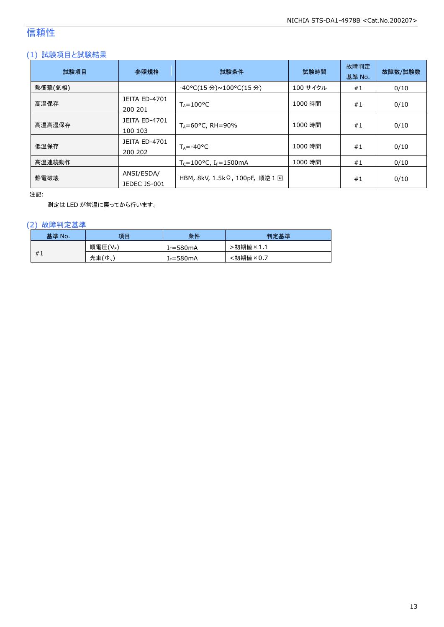### 信頼性

### (1) 試験項目と試験結果

| 試験項目    | 参照規格                            | 試験条件                                          | 試験時間     | 故障判定<br>基準 No. | 故障数/試験数 |
|---------|---------------------------------|-----------------------------------------------|----------|----------------|---------|
| 熱衝撃(気相) |                                 | -40°C(15 分)~100°C(15 分)                       | 100 サイクル | #1             | 0/10    |
| 高温保存    | <b>JEITA ED-4701</b><br>200 201 | $T_A = 100^{\circ}C$                          | 1000 時間  | #1             | 0/10    |
| 高温高湿保存  | JEITA ED-4701<br>100 103        | $T_A = 60^{\circ}$ C, RH=90%                  | 1000 時間  | #1             | 0/10    |
| 低温保存    | <b>JEITA ED-4701</b><br>200 202 | $T_{\text{A}} = -40^{\circ}C$                 | 1000 時間  | #1             | 0/10    |
| 高温連続動作  |                                 | $T_c = 100^{\circ}$ C, I <sub>F</sub> =1500mA | 1000 時間  | #1             | 0/10    |
| 静電破壊    | ANSI/ESDA/<br>JEDEC JS-001      | HBM, 8kV, 1.5kΩ, 100pF, 順逆 1 回                |          | #1             | 0/10    |

注記:

測定は LED が常温に戻ってから行います。

### (2) 故障判定基準

| 基準 No. | 項目      | 条件                    | 判定基準     |
|--------|---------|-----------------------|----------|
|        | 順電圧(VF) | [ <sub>F</sub> =580mA | ·初期値×1.1 |
| #1     | 光束(Ф.)  | $I_F = 580mA$         | :初期値×0.7 |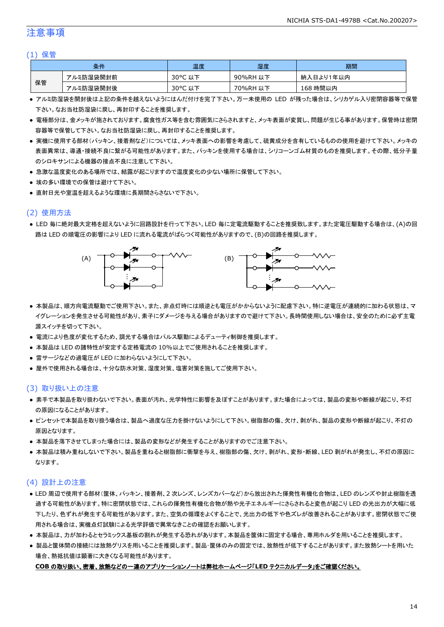### 注意事項

#### (1) 保管

|    | 条件        | 温度         | 湿度       | 期間        |
|----|-----------|------------|----------|-----------|
|    | アルミ防湿袋開封前 | 30°C<br>以下 | 90%RH 以下 | 納入日より1年以内 |
| 保管 | アルミ防湿袋開封後 | 30°C 以下    | 70%RH 以下 | 168 時間以内  |

- アルミ防湿袋を開封後は上記の条件を越えないようにはんだ付けを完了下さい。万一未使用の LED が残った場合は、シリカゲル入り密閉容器等で保管 下さい。なお当社防湿袋に戻し、再封印することを推奨します。
- 電極部分は、金メッキが施されております。腐食性ガス等を含む雰囲気にさらされますと、メッキ表面が変質し、問題が生じる事があります。保管時は密閉 容器等で保管して下さい。なお当社防湿袋に戻し、再封印することを推奨します。
- 実機に使用する部材(パッキン、接着剤など)については、メッキ表面への影響を考慮して、硫黄成分を含有しているものの使用を避けて下さい。メッキの 表面異常は、導通・接続不良に繋がる可能性があります。また、パッキンを使用する場合は、シリコーンゴム材質のものを推奨します。その際、低分子量 のシロキサンによる機器の接点不良に注意して下さい。
- 急激な温度変化のある場所では、結露が起こりますので温度変化の少ない場所に保管して下さい。
- 埃の多い環境での保管は避けて下さい。
- 直射日光や室温を超えるような環境に長期間さらさないで下さい。

### (2) 使用方法

● LED 毎に絶対最大定格を超えないように回路設計を行って下さい。LED 毎に定電流駆動することを推奨致します。また定電圧駆動する場合は、(A)の回 路は LED の順電圧の影響により LED に流れる電流がばらつく可能性がありますので、(B)の回路を推奨します。



- 本製品は、順方向電流駆動でご使用下さい。また、非点灯時には順逆とも電圧がかからないように配慮下さい。特に逆電圧が連続的に加わる状態は、マ イグレーションを発生させる可能性があり、素子にダメージを与える場合がありますので避けて下さい。長時間使用しない場合は、安全のために必ず主電 源スイッチを切って下さい。
- 電流により色度が変化するため、調光する場合はパルス駆動によるデューティ制御を推奨します。
- 本製品は LED の諸特性が安定する定格電流の 10%以上でご使用されることを推奨します。
- 雷サージなどの過電圧が LED に加わらないようにして下さい。
- 屋外で使用される場合は、十分な防水対策、湿度対策、塩害対策を施してご使用下さい。

### (3) 取り扱い上の注意

- 素手で本製品を取り扱わないで下さい。表面が汚れ、光学特性に影響を及ぼすことがあります。また場合によっては、製品の変形や断線が起こり、不灯 の原因になることがあります。
- ピンセットで本製品を取り扱う場合は、製品へ過度な圧力を掛けないようにして下さい。樹脂部の傷、欠け、剥がれ、製品の変形や断線が起こり、不灯の 原因となります。
- 本製品を落下させてしまった場合には、製品の変形などが発生することがありますのでご注意下さい。
- 本製品は積み重ねしないで下さい。製品を重ねると樹脂部に衝撃を与え、樹脂部の傷、欠け、剥がれ、変形・断線、LED 剥がれが発生し、不灯の原因に なります。

### (4) 設計上の注意

- LED 周辺で使用する部材(筐体、パッキン、接着剤、2 次レンズ、レンズカバーなど)から放出された揮発性有機化合物は、LED のレンズや封止樹脂を透 過する可能性があります。特に密閉状態では、これらの揮発性有機化合物が熱や光子エネルギーにさらされると変色が起こり LED の光出力が大幅に低 下したり、色ずれが発生する可能性があります。また、空気の循環をよくすることで、光出力の低下や色ズレが改善されることがあります。密閉状態でご使 用される場合は、実機点灯試験による光学評価で異常なきことの確認をお願いします。
- 本製品は、カが加わるとセラミックス基板の割れが発生する恐れがあります。本製品を筐体に固定する場合、専用ホルダを用いることを推奨します。
- 製品と筐体間の接続には放熱グリスを用いることを推奨します。製品・筐体のみの固定では、放熱性が低下することがあります。また放熱シートを用いた 場合、熱抵抗値は顕著に大きくなる可能性があります。

#### **COB** の取り扱い、密着、放熱などの一連のアプリケーションノートは弊社ホームページ「**LED** テクニカルデータ」をご確認ください。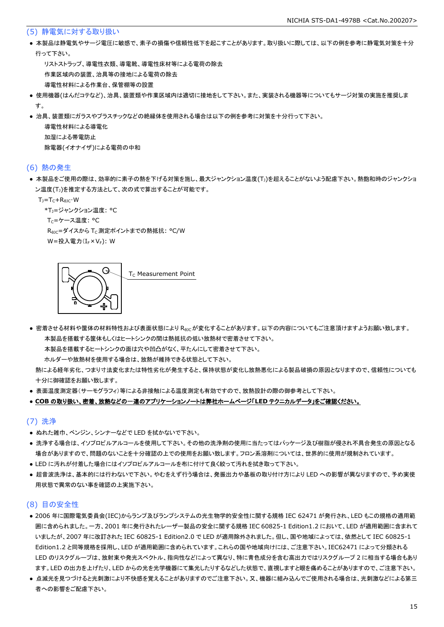#### (5) 静電気に対する取り扱い

● 本製品は静電気やサージ電圧に敏感で、素子の損傷や信頼性低下を起こすことがあります。取り扱いに際しては、以下の例を参考に静電気対策を十分 行って下さい。

 リストストラップ、導電性衣類、導電靴、導電性床材等による電荷の除去 作業区域内の装置、治具等の接地による電荷の除去 導電性材料による作業台、保管棚等の設置

- 使用機器(はんだコテなど)、治具、装置類や作業区域内は適切に接地をして下さい。また、実装される機器等についてもサージ対策の実施を推奨しま す。
- 治具、装置類にガラスやプラスチックなどの絶縁体を使用される場合は以下の例を参考に対策を十分行って下さい。

 導電性材料による導電化 加湿による帯電防止 除電器(イオナイザ)による電荷の中和

#### (6) 熱の発生

● 本製品をご使用の際は、効率的に素子の熱を下げる対策を施し、最大ジャンクション温度(T」)を超えることがないよう配慮下さい。熱飽和時のジャンクショ ン温度(T」)を推定する方法として、次の式で算出することが可能です。

 $T_1 = T_C + R_{B1C} \cdot W$ 

\*T1=ジャンクション温度: °C

Tc=ケース温度: °C

R<sub>0JC</sub>=ダイスから T<sub>C</sub> 測定ポイントまでの熱抵抗: °C/W W=投入電力(I<sub>F</sub>×V<sub>F</sub>): W

G T<sub>c</sub> Measurement Point

● 密着させる材料や筐体の材料特性および表面状態により Reicが変化することがあります。以下の内容についてもご注意頂けますようお願い致します。 本製品を搭載する筐体もしくはヒートシンクの間は熱抵抗の低い放熱材で密着させて下さい。

本製品を搭載するヒートシンクの面は穴や凹凸がなく、平たんにして密着させて下さい。

ホルダーや放熱材を使用する場合は、放熱が維持できる状態として下さい。

 熱による経年劣化、つまり寸法変化または特性劣化が発生すると、保持状態が変化し放熱悪化による製品破損の原因となりますので、信頼性についても 十分に御確認をお願い致します。

● 表面温度測定器(サーモグラフィ)等による非接触による温度測定も有効ですので、放熱設計の際の御参考として下さい。

#### ● **COB** の取り扱い、密着、放熱などの一連のアプリケーションノートは弊社ホームページ「**LED** テクニカルデータ」をご確認ください。

#### (7) 洗浄

- ぬれた雑巾、ベンジン、シンナーなどで LED を拭かないで下さい。
- 洗浄する場合は、イソプロピルアルコールを使用して下さい。その他の洗浄剤の使用に当たってはパッケージ及び樹脂が侵され不具合発生の原因となる 場合がありますので、問題のないことを十分確認の上での使用をお願い致します。フロン系溶剤については、世界的に使用が規制されています。
- LED に汚れが付着した場合にはイソプロピルアルコールを布に付けて良く絞って汚れを拭き取って下さい。
- 超音波洗浄は、基本的には行わないで下さい。やむをえず行う場合は、発振出力や基板の取り付け方により LED への影響が異なりますので、予め実使 用状態で異常のない事を確認の上実施下さい。

### (8) 目の安全性

- 2006 年に国際電気委員会(IEC)からランプ及びランプシステムの光生物学的安全性に関する規格 IEC 62471 が発行され、LED もこの規格の適用範 囲に含められました。一方、2001 年に発行されたレーザー製品の安全に関する規格 IEC 60825-1 Edition1.2 において、LED が適用範囲に含まれて いましたが、2007 年に改訂された IEC 60825-1 Edition2.0 で LED が適用除外されました。但し、国や地域によっては、依然として IEC 60825-1 Edition1.2 と同等規格を採用し、LED が適用範囲に含められています。これらの国や地域向けには、ご注意下さい。IEC62471 によって分類される LED のリスクグループは、放射束や発光スペクトル、指向性などによって異なり、特に青色成分を含む高出力ではリスクグループ 2 に相当する場合もあり ます。LED の出力を上げたり、LED からの光を光学機器にて集光したりするなどした状態で、直視しますと眼を痛めることがありますので、ご注意下さい。
- 点滅光を見つづけると光刺激により不快感を覚えることがありますのでご注意下さい。又、機器に組み込んでご使用される場合は、光刺激などによる第三 者への影響をご配慮下さい。